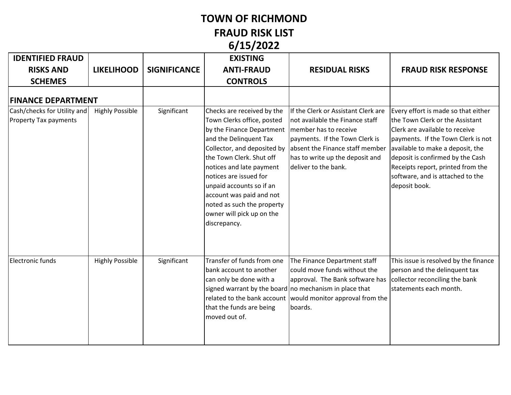## **TOWN OF RICHMOND**

**FRAUD RISK LIST 6/15/2022**

|                                                             | v, 29, 2022            |                     |                                                                                                                                                                                                                                                                                                                                                                                             |                                                                                                                                                                                                                                     |                                                                                                                                                                                                                                                                                                                  |  |  |  |
|-------------------------------------------------------------|------------------------|---------------------|---------------------------------------------------------------------------------------------------------------------------------------------------------------------------------------------------------------------------------------------------------------------------------------------------------------------------------------------------------------------------------------------|-------------------------------------------------------------------------------------------------------------------------------------------------------------------------------------------------------------------------------------|------------------------------------------------------------------------------------------------------------------------------------------------------------------------------------------------------------------------------------------------------------------------------------------------------------------|--|--|--|
| <b>IDENTIFIED FRAUD</b>                                     |                        |                     | <b>EXISTING</b>                                                                                                                                                                                                                                                                                                                                                                             |                                                                                                                                                                                                                                     |                                                                                                                                                                                                                                                                                                                  |  |  |  |
| <b>RISKS AND</b>                                            | <b>LIKELIHOOD</b>      | <b>SIGNIFICANCE</b> | <b>ANTI-FRAUD</b>                                                                                                                                                                                                                                                                                                                                                                           | <b>RESIDUAL RISKS</b>                                                                                                                                                                                                               | <b>FRAUD RISK RESPONSE</b>                                                                                                                                                                                                                                                                                       |  |  |  |
| <b>SCHEMES</b>                                              |                        |                     | <b>CONTROLS</b>                                                                                                                                                                                                                                                                                                                                                                             |                                                                                                                                                                                                                                     |                                                                                                                                                                                                                                                                                                                  |  |  |  |
| <b>FINANCE DEPARTMENT</b>                                   |                        |                     |                                                                                                                                                                                                                                                                                                                                                                                             |                                                                                                                                                                                                                                     |                                                                                                                                                                                                                                                                                                                  |  |  |  |
| Cash/checks for Utility and<br><b>Property Tax payments</b> | <b>Highly Possible</b> | Significant         | Checks are received by the<br>Town Clerks office, posted<br>by the Finance Department   member has to receive<br>and the Delinquent Tax<br>Collector, and deposited by<br>the Town Clerk. Shut off<br>notices and late payment<br>notices are issued for<br>unpaid accounts so if an<br>account was paid and not<br>noted as such the property<br>owner will pick up on the<br>discrepancy. | If the Clerk or Assistant Clerk are<br>not available the Finance staff<br>payments. If the Town Clerk is<br>absent the Finance staff member<br>has to write up the deposit and<br>deliver to the bank.                              | Every effort is made so that either<br>the Town Clerk or the Assistant<br>Clerk are available to receive<br>payments. If the Town Clerk is not<br>available to make a deposit, the<br>deposit is confirmed by the Cash<br>Receipts report, printed from the<br>software, and is attached to the<br>deposit book. |  |  |  |
| Electronic funds                                            | <b>Highly Possible</b> | Significant         | Transfer of funds from one<br>bank account to another<br>can only be done with a<br>that the funds are being<br>moved out of.                                                                                                                                                                                                                                                               | The Finance Department staff<br>could move funds without the<br>approval. The Bank software has<br>signed warrant by the board no mechanism in place that<br>related to the bank account would monitor approval from the<br>boards. | This issue is resolved by the finance<br>person and the delinquent tax<br>collector reconciling the bank<br>statements each month.                                                                                                                                                                               |  |  |  |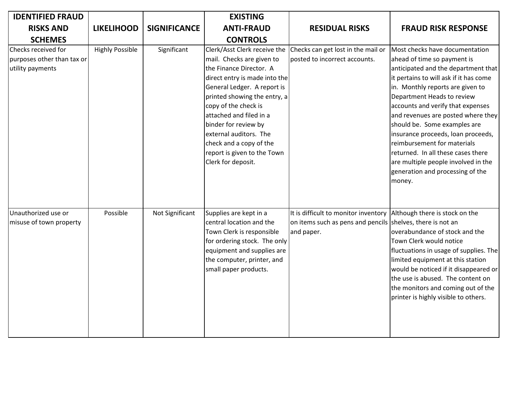| <b>IDENTIFIED FRAUD</b>                                               |                        |                     | <b>EXISTING</b>                                                                                                                                                                                                                                                                                                                                                           |                                                                                                                  |                                                                                                                                                                                                                                                                                                                                                                                                                                                                                                                             |
|-----------------------------------------------------------------------|------------------------|---------------------|---------------------------------------------------------------------------------------------------------------------------------------------------------------------------------------------------------------------------------------------------------------------------------------------------------------------------------------------------------------------------|------------------------------------------------------------------------------------------------------------------|-----------------------------------------------------------------------------------------------------------------------------------------------------------------------------------------------------------------------------------------------------------------------------------------------------------------------------------------------------------------------------------------------------------------------------------------------------------------------------------------------------------------------------|
| <b>RISKS AND</b>                                                      | <b>LIKELIHOOD</b>      | <b>SIGNIFICANCE</b> | <b>ANTI-FRAUD</b>                                                                                                                                                                                                                                                                                                                                                         | <b>RESIDUAL RISKS</b>                                                                                            | <b>FRAUD RISK RESPONSE</b>                                                                                                                                                                                                                                                                                                                                                                                                                                                                                                  |
| <b>SCHEMES</b>                                                        |                        |                     | <b>CONTROLS</b>                                                                                                                                                                                                                                                                                                                                                           |                                                                                                                  |                                                                                                                                                                                                                                                                                                                                                                                                                                                                                                                             |
| Checks received for<br>purposes other than tax or<br>utility payments | <b>Highly Possible</b> | Significant         | Clerk/Asst Clerk receive the<br>mail. Checks are given to<br>the Finance Director. A<br>direct entry is made into the<br>General Ledger. A report is<br>printed showing the entry, a<br>copy of the check is<br>attached and filed in a<br>binder for review by<br>external auditors. The<br>check and a copy of the<br>report is given to the Town<br>Clerk for deposit. | Checks can get lost in the mail or<br>posted to incorrect accounts.                                              | Most checks have documentation<br>ahead of time so payment is<br>anticipated and the department that<br>it pertains to will ask if it has come<br>in. Monthly reports are given to<br>Department Heads to review<br>accounts and verify that expenses<br>and revenues are posted where they<br>should be. Some examples are<br>insurance proceeds, loan proceeds,<br>reimbursement for materials<br>returned. In all these cases there<br>are multiple people involved in the<br>generation and processing of the<br>money. |
| Unauthorized use or<br>misuse of town property                        | Possible               | Not Significant     | Supplies are kept in a<br>central location and the<br>Town Clerk is responsible<br>for ordering stock. The only<br>equipment and supplies are<br>the computer, printer, and<br>small paper products.                                                                                                                                                                      | It is difficult to monitor inventory<br>on items such as pens and pencils shelves, there is not an<br>and paper. | Although there is stock on the<br>overabundance of stock and the<br>Town Clerk would notice<br>fluctuations in usage of supplies. The<br>limited equipment at this station<br>would be noticed if it disappeared or<br>the use is abused. The content on<br>the monitors and coming out of the<br>printer is highly visible to others.                                                                                                                                                                                      |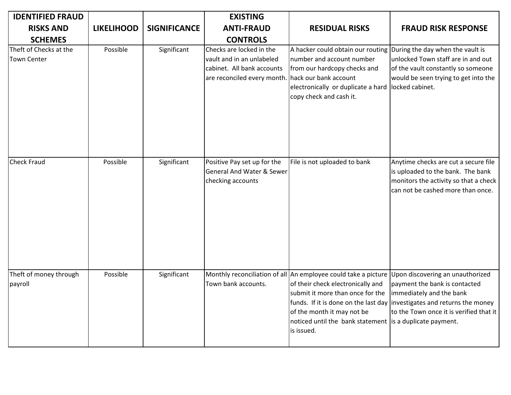| <b>IDENTIFIED FRAUD</b>                      |                   |                     | <b>EXISTING</b>                                                                                                                          |                                                                                                                                                                                                                  |                                                                                                                                                                                                                                                                                    |
|----------------------------------------------|-------------------|---------------------|------------------------------------------------------------------------------------------------------------------------------------------|------------------------------------------------------------------------------------------------------------------------------------------------------------------------------------------------------------------|------------------------------------------------------------------------------------------------------------------------------------------------------------------------------------------------------------------------------------------------------------------------------------|
| <b>RISKS AND</b>                             | <b>LIKELIHOOD</b> | <b>SIGNIFICANCE</b> | <b>ANTI-FRAUD</b>                                                                                                                        | <b>RESIDUAL RISKS</b>                                                                                                                                                                                            | <b>FRAUD RISK RESPONSE</b>                                                                                                                                                                                                                                                         |
| <b>SCHEMES</b>                               |                   |                     | <b>CONTROLS</b>                                                                                                                          |                                                                                                                                                                                                                  |                                                                                                                                                                                                                                                                                    |
| Theft of Checks at the<br><b>Town Center</b> | Possible          | Significant         | Checks are locked in the<br>vault and in an unlabeled<br>cabinet. All bank accounts<br>are reconciled every month. hack our bank account | A hacker could obtain our routing During the day when the vault is<br>number and account number<br>from our hardcopy checks and<br>electronically or duplicate a hard locked cabinet.<br>copy check and cash it. | unlocked Town staff are in and out<br>of the vault constantly so someone<br>would be seen trying to get into the                                                                                                                                                                   |
| <b>Check Fraud</b>                           | Possible          | Significant         | Positive Pay set up for the<br><b>General And Water &amp; Sewer</b><br>checking accounts                                                 | File is not uploaded to bank                                                                                                                                                                                     | Anytime checks are cut a secure file<br>is uploaded to the bank. The bank<br>monitors the activity so that a check<br>can not be cashed more than once.                                                                                                                            |
| Theft of money through<br>payroll            | Possible          | Significant         | Town bank accounts.                                                                                                                      | of their check electronically and<br>submit it more than once for the<br>of the month it may not be<br>noticed until the bank statement is a duplicate payment.<br>is issued.                                    | Monthly reconciliation of all An employee could take a picture Upon discovering an unauthorized<br>payment the bank is contacted<br>immediately and the bank<br>funds. If it is done on the last day investigates and returns the money<br>to the Town once it is verified that it |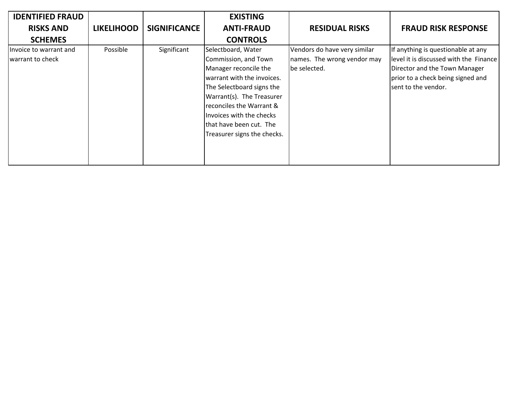| <b>IDENTIFIED FRAUD</b>                    |                   |                     | <b>EXISTING</b>                                                                                                                                                                                                                                |                                                                             |                                                                                                                                                                           |
|--------------------------------------------|-------------------|---------------------|------------------------------------------------------------------------------------------------------------------------------------------------------------------------------------------------------------------------------------------------|-----------------------------------------------------------------------------|---------------------------------------------------------------------------------------------------------------------------------------------------------------------------|
| <b>RISKS AND</b>                           | <b>LIKELIHOOD</b> | <b>SIGNIFICANCE</b> | <b>ANTI-FRAUD</b>                                                                                                                                                                                                                              | <b>RESIDUAL RISKS</b>                                                       | <b>FRAUD RISK RESPONSE</b>                                                                                                                                                |
| <b>SCHEMES</b>                             |                   |                     | <b>CONTROLS</b>                                                                                                                                                                                                                                |                                                                             |                                                                                                                                                                           |
| Invoice to warrant and<br>warrant to check | Possible          | Significant         | Selectboard, Water<br>Commission, and Town<br>Manager reconcile the<br>warrant with the invoices.<br>The Selectboard signs the<br>Warrant(s). The Treasurer<br>reconciles the Warrant &<br>Invoices with the checks<br>that have been cut. The | Vendors do have very similar<br>names. The wrong vendor may<br>be selected. | If anything is questionable at any<br>level it is discussed with the Finance<br>Director and the Town Manager<br>prior to a check being signed and<br>sent to the vendor. |
|                                            |                   |                     | Treasurer signs the checks.                                                                                                                                                                                                                    |                                                                             |                                                                                                                                                                           |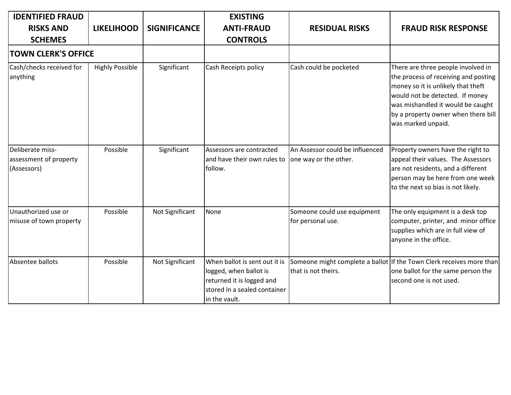| <b>IDENTIFIED FRAUD</b>                                   |                        |                     | <b>EXISTING</b>                                                                                                                       |                                                          |                                                                                                                                                                                                                                                       |
|-----------------------------------------------------------|------------------------|---------------------|---------------------------------------------------------------------------------------------------------------------------------------|----------------------------------------------------------|-------------------------------------------------------------------------------------------------------------------------------------------------------------------------------------------------------------------------------------------------------|
| <b>RISKS AND</b><br><b>SCHEMES</b>                        | <b>LIKELIHOOD</b>      | <b>SIGNIFICANCE</b> | <b>ANTI-FRAUD</b><br><b>CONTROLS</b>                                                                                                  | <b>RESIDUAL RISKS</b>                                    | <b>FRAUD RISK RESPONSE</b>                                                                                                                                                                                                                            |
| <b>TOWN CLERK'S OFFICE</b>                                |                        |                     |                                                                                                                                       |                                                          |                                                                                                                                                                                                                                                       |
| Cash/checks received for<br>anything                      | <b>Highly Possible</b> | Significant         | Cash Receipts policy                                                                                                                  | Cash could be pocketed                                   | There are three people involved in<br>the process of receiving and posting<br>money so it is unlikely that theft<br>would not be detected. If money<br>was mishandled it would be caught<br>by a property owner when there bill<br>was marked unpaid. |
| Deliberate miss-<br>assessment of property<br>(Assessors) | Possible               | Significant         | Assessors are contracted<br>and have their own rules to<br>follow.                                                                    | An Assessor could be influenced<br>one way or the other. | Property owners have the right to<br>appeal their values. The Assessors<br>are not residents, and a different<br>person may be here from one week<br>to the next so bias is not likely.                                                               |
| Unauthorized use or<br>misuse of town property            | Possible               | Not Significant     | None                                                                                                                                  | Someone could use equipment<br>for personal use.         | The only equipment is a desk top<br>computer, printer, and minor office<br>supplies which are in full view of<br>anyone in the office.                                                                                                                |
| Absentee ballots                                          | Possible               | Not Significant     | When ballot is sent out it is<br>logged, when ballot is<br>returned it is logged and<br>stored in a sealed container<br>in the vault. | that is not theirs.                                      | Someone might complete a ballot If the Town Clerk receives more than<br>one ballot for the same person the<br>second one is not used.                                                                                                                 |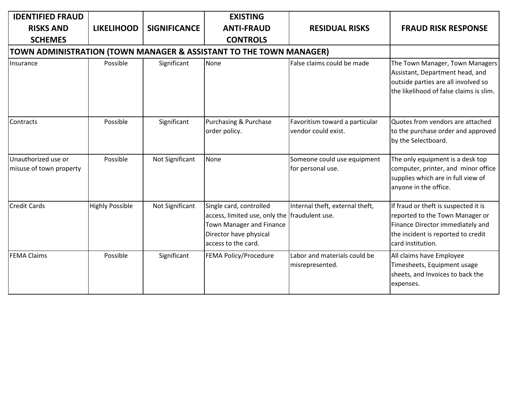| <b>IDENTIFIED FRAUD</b><br><b>RISKS AND</b>    | <b>LIKELIHOOD</b>      | <b>SIGNIFICANCE</b> | <b>EXISTING</b><br><b>ANTI-FRAUD</b>                                                                                                                  | <b>RESIDUAL RISKS</b>                                 | <b>FRAUD RISK RESPONSE</b>                                                                                                                                             |
|------------------------------------------------|------------------------|---------------------|-------------------------------------------------------------------------------------------------------------------------------------------------------|-------------------------------------------------------|------------------------------------------------------------------------------------------------------------------------------------------------------------------------|
| <b>SCHEMES</b>                                 |                        |                     | <b>CONTROLS</b>                                                                                                                                       |                                                       |                                                                                                                                                                        |
| Insurance                                      | Possible               | Significant         | TOWN ADMINISTRATION (TOWN MANAGER & ASSISTANT TO THE TOWN MANAGER)<br>None                                                                            | False claims could be made                            | The Town Manager, Town Managers<br>Assistant, Department head, and<br>outside parties are all involved so<br>the likelihood of false claims is slim.                   |
| Contracts                                      | Possible               | Significant         | Purchasing & Purchase<br>order policy.                                                                                                                | Favoritism toward a particular<br>vendor could exist. | Quotes from vendors are attached<br>to the purchase order and approved<br>by the Selectboard.                                                                          |
| Unauthorized use or<br>misuse of town property | Possible               | Not Significant     | None                                                                                                                                                  | Someone could use equipment<br>for personal use.      | The only equipment is a desk top<br>computer, printer, and minor office<br>supplies which are in full view of<br>anyone in the office.                                 |
| <b>Credit Cards</b>                            | <b>Highly Possible</b> | Not Significant     | Single card, controlled<br>access, limited use, only the fraudulent use.<br>Town Manager and Finance<br>Director have physical<br>access to the card. | Internal theft, external theft,                       | If fraud or theft is suspected it is<br>reported to the Town Manager or<br>Finance Director immediately and<br>the incident is reported to credit<br>card institution. |
| <b>FEMA Claims</b>                             | Possible               | Significant         | FEMA Policy/Procedure                                                                                                                                 | Labor and materials could be<br>misrepresented.       | All claims have Employee<br>Timesheets, Equipment usage<br>sheets, and Invoices to back the<br>expenses.                                                               |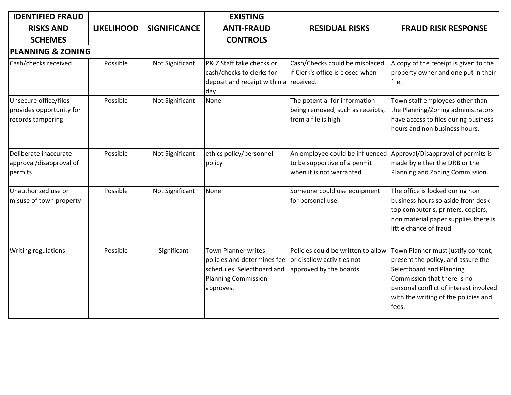| <b>IDENTIFIED FRAUD</b>                                                |                   |                     | <b>EXISTING</b>                                                                                                                    |                                                                                              |                                                                                                                                                                                                                                 |
|------------------------------------------------------------------------|-------------------|---------------------|------------------------------------------------------------------------------------------------------------------------------------|----------------------------------------------------------------------------------------------|---------------------------------------------------------------------------------------------------------------------------------------------------------------------------------------------------------------------------------|
| <b>RISKS AND</b>                                                       | <b>LIKELIHOOD</b> | <b>SIGNIFICANCE</b> | <b>ANTI-FRAUD</b>                                                                                                                  | <b>RESIDUAL RISKS</b>                                                                        | <b>FRAUD RISK RESPONSE</b>                                                                                                                                                                                                      |
| <b>SCHEMES</b>                                                         |                   |                     | <b>CONTROLS</b>                                                                                                                    |                                                                                              |                                                                                                                                                                                                                                 |
| <b>PLANNING &amp; ZONING</b>                                           |                   |                     |                                                                                                                                    |                                                                                              |                                                                                                                                                                                                                                 |
| Cash/checks received                                                   | Possible          | Not Significant     | P& Z Staff take checks or<br>cash/checks to clerks for<br>deposit and receipt within a received.<br>day.                           | Cash/Checks could be misplaced<br>if Clerk's office is closed when                           | A copy of the receipt is given to the<br>property owner and one put in their<br>file.                                                                                                                                           |
| Unsecure office/files<br>provides opportunity for<br>records tampering | Possible          | Not Significant     | None                                                                                                                               | The potential for information<br>being removed, such as receipts,<br>from a file is high.    | Town staff employees other than<br>the Planning/Zoning administrators<br>have access to files during business<br>hours and non business hours.                                                                                  |
| Deliberate inaccurate<br>approval/disapproval of<br>permits            | Possible          | Not Significant     | ethics policy/personnel<br>policy                                                                                                  | An employee could be influenced<br>to be supportive of a permit<br>when it is not warranted. | Approval/Disapproval of permits is<br>made by either the DRB or the<br>Planning and Zoning Commission.                                                                                                                          |
| Unauthorized use or<br>misuse of town property                         | Possible          | Not Significant     | <b>None</b>                                                                                                                        | Someone could use equipment<br>for personal use.                                             | The office is locked during non<br>business hours so aside from desk<br>top computer's, printers, copiers,<br>non material paper supplies there is<br>little chance of fraud.                                                   |
| Writing regulations                                                    | Possible          | Significant         | <b>Town Planner writes</b><br>policies and determines fee<br>schedules. Selectboard and<br><b>Planning Commission</b><br>approves. | Policies could be written to allow<br>or disallow activities not<br>approved by the boards.  | Town Planner must justify content,<br>present the policy, and assure the<br>Selectboard and Planning<br>Commission that there is no<br>personal conflict of interest involved<br>with the writing of the policies and<br>lfees. |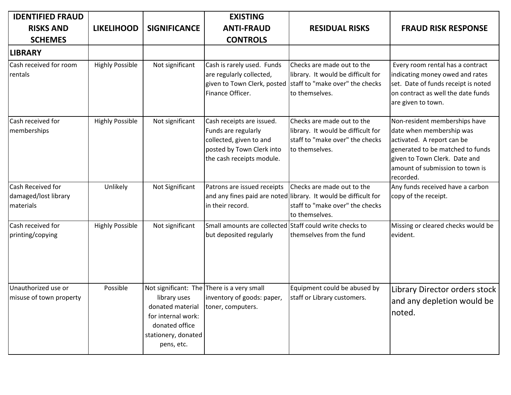| <b>IDENTIFIED FRAUD</b>                                |                        |                                                                                                               | <b>EXISTING</b>                                                                                                                       |                                                                                                                                                     |                                                                                                                                                                                                              |
|--------------------------------------------------------|------------------------|---------------------------------------------------------------------------------------------------------------|---------------------------------------------------------------------------------------------------------------------------------------|-----------------------------------------------------------------------------------------------------------------------------------------------------|--------------------------------------------------------------------------------------------------------------------------------------------------------------------------------------------------------------|
| <b>RISKS AND</b>                                       | <b>LIKELIHOOD</b>      | <b>SIGNIFICANCE</b>                                                                                           | <b>ANTI-FRAUD</b>                                                                                                                     | <b>RESIDUAL RISKS</b>                                                                                                                               | <b>FRAUD RISK RESPONSE</b>                                                                                                                                                                                   |
| <b>SCHEMES</b>                                         |                        |                                                                                                               | <b>CONTROLS</b>                                                                                                                       |                                                                                                                                                     |                                                                                                                                                                                                              |
| <b>LIBRARY</b>                                         |                        |                                                                                                               |                                                                                                                                       |                                                                                                                                                     |                                                                                                                                                                                                              |
| Cash received for room<br>rentals                      | <b>Highly Possible</b> | Not significant                                                                                               | Cash is rarely used. Funds<br>are regularly collected,<br>Finance Officer.                                                            | Checks are made out to the<br>library. It would be difficult for<br>given to Town Clerk, posted   staff to "make over" the checks<br>to themselves. | Every room rental has a contract<br>indicating money owed and rates<br>set. Date of funds receipt is noted<br>on contract as well the date funds<br>are given to town.                                       |
| Cash received for<br>memberships                       | <b>Highly Possible</b> | Not significant                                                                                               | Cash receipts are issued.<br>Funds are regularly<br>collected, given to and<br>posted by Town Clerk into<br>the cash receipts module. | Checks are made out to the<br>library. It would be difficult for<br>staff to "make over" the checks<br>to themselves.                               | Non-resident memberships have<br>date when membership was<br>activated. A report can be<br>generated to be matched to funds<br>given to Town Clerk. Date and<br>amount of submission to town is<br>recorded. |
| Cash Received for<br>damaged/lost library<br>materials | Unlikely               | Not Significant                                                                                               | Patrons are issued receipts<br>in their record.                                                                                       | Checks are made out to the<br>and any fines paid are noted library. It would be difficult for<br>staff to "make over" the checks<br>to themselves.  | Any funds received have a carbon<br>copy of the receipt.                                                                                                                                                     |
| Cash received for<br>printing/copying                  | <b>Highly Possible</b> | Not significant                                                                                               | Small amounts are collected Staff could write checks to<br>but deposited regularly                                                    | themselves from the fund                                                                                                                            | Missing or cleared checks would be<br>evident.                                                                                                                                                               |
| Unauthorized use or<br>misuse of town property         | Possible               | library uses<br>donated material<br>for internal work:<br>donated office<br>stationery, donated<br>pens, etc. | Not significant: The There is a very small<br>inventory of goods: paper,<br>toner, computers.                                         | Equipment could be abused by<br>staff or Library customers.                                                                                         | Library Director orders stock<br>and any depletion would be<br>noted.                                                                                                                                        |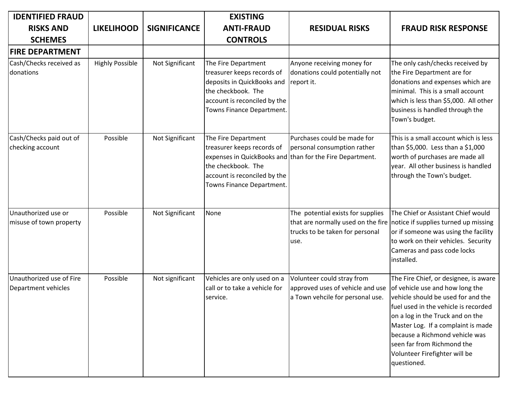| <b>IDENTIFIED FRAUD</b>                         |                        |                     | <b>EXISTING</b>                                                                                                                                                    |                                                                                                                        |                                                                                                                                                                                                                                                                                                                                                  |
|-------------------------------------------------|------------------------|---------------------|--------------------------------------------------------------------------------------------------------------------------------------------------------------------|------------------------------------------------------------------------------------------------------------------------|--------------------------------------------------------------------------------------------------------------------------------------------------------------------------------------------------------------------------------------------------------------------------------------------------------------------------------------------------|
| <b>RISKS AND</b>                                | <b>LIKELIHOOD</b>      | <b>SIGNIFICANCE</b> | <b>ANTI-FRAUD</b>                                                                                                                                                  | <b>RESIDUAL RISKS</b>                                                                                                  | <b>FRAUD RISK RESPONSE</b>                                                                                                                                                                                                                                                                                                                       |
| <b>SCHEMES</b>                                  |                        |                     | <b>CONTROLS</b>                                                                                                                                                    |                                                                                                                        |                                                                                                                                                                                                                                                                                                                                                  |
| <b>FIRE DEPARTMENT</b>                          |                        |                     |                                                                                                                                                                    |                                                                                                                        |                                                                                                                                                                                                                                                                                                                                                  |
| Cash/Checks received as<br>donations            | <b>Highly Possible</b> | Not Significant     | The Fire Department<br>treasurer keeps records of<br>deposits in QuickBooks and<br>the checkbook. The<br>account is reconciled by the<br>Towns Finance Department. | Anyone receiving money for<br>donations could potentially not<br>report it.                                            | The only cash/checks received by<br>the Fire Department are for<br>donations and expenses which are<br>minimal. This is a small account<br>which is less than \$5,000. All other<br>business is handled through the<br>Town's budget.                                                                                                            |
| Cash/Checks paid out of<br>checking account     | Possible               | Not Significant     | The Fire Department<br>treasurer keeps records of<br>the checkbook. The<br>account is reconciled by the<br>Towns Finance Department.                               | Purchases could be made for<br>personal consumption rather<br>expenses in QuickBooks and than for the Fire Department. | This is a small account which is less<br>than \$5,000. Less than a \$1,000<br>worth of purchases are made all<br>year. All other business is handled<br>through the Town's budget.                                                                                                                                                               |
| Unauthorized use or<br>misuse of town property  | Possible               | Not Significant     | None                                                                                                                                                               | The potential exists for supplies<br>that are normally used on the fire<br>trucks to be taken for personal<br>use.     | The Chief or Assistant Chief would<br>notice if supplies turned up missing<br>or if someone was using the facility<br>to work on their vehicles. Security<br>Cameras and pass code locks<br>installed.                                                                                                                                           |
| Unauthorized use of Fire<br>Department vehicles | Possible               | Not significant     | Vehicles are only used on a<br>call or to take a vehicle for<br>service.                                                                                           | Volunteer could stray from<br>approved uses of vehicle and use<br>a Town vehcile for personal use.                     | The Fire Chief, or designee, is aware<br>of vehicle use and how long the<br>vehicle should be used for and the<br>fuel used in the vehicle is recorded<br>on a log in the Truck and on the<br>Master Log. If a complaint is made<br>because a Richmond vehicle was<br>seen far from Richmond the<br>Volunteer Firefighter will be<br>questioned. |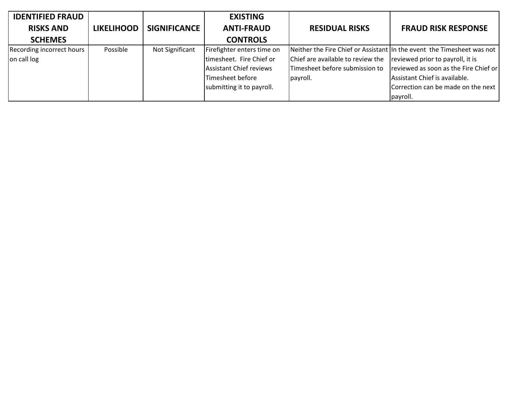| <b>IDENTIFIED FRAUD</b>   |                   |                 | <b>EXISTING</b>                |                                   |                                                                        |
|---------------------------|-------------------|-----------------|--------------------------------|-----------------------------------|------------------------------------------------------------------------|
| <b>RISKS AND</b>          | <b>LIKELIHOOD</b> | SIGNIFICANCE    | <b>ANTI-FRAUD</b>              | <b>RESIDUAL RISKS</b>             | <b>FRAUD RISK RESPONSE</b>                                             |
| <b>SCHEMES</b>            |                   |                 | <b>CONTROLS</b>                |                                   |                                                                        |
| Recording incorrect hours | Possible          | Not Significant | Firefighter enters time on     |                                   | Neither the Fire Chief or Assistant In the event the Timesheet was not |
| on call log               |                   |                 | timesheet. Fire Chief or       | Chief are available to review the | reviewed prior to payroll, it is                                       |
|                           |                   |                 | <b>Assistant Chief reviews</b> | Timesheet before submission to    | reviewed as soon as the Fire Chief or                                  |
|                           |                   |                 | Timesheet before               | payroll.                          | Assistant Chief is available.                                          |
|                           |                   |                 | submitting it to payroll.      |                                   | Correction can be made on the next                                     |
|                           |                   |                 |                                |                                   | payroll.                                                               |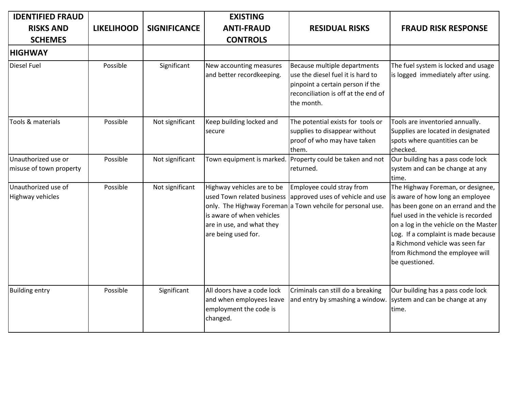| <b>IDENTIFIED FRAUD</b>                        |                   |                     | <b>EXISTING</b>                                                                                                                           |                                                                                                                                                            |                                                                                                                                                                                                                                                                                                                             |
|------------------------------------------------|-------------------|---------------------|-------------------------------------------------------------------------------------------------------------------------------------------|------------------------------------------------------------------------------------------------------------------------------------------------------------|-----------------------------------------------------------------------------------------------------------------------------------------------------------------------------------------------------------------------------------------------------------------------------------------------------------------------------|
| <b>RISKS AND</b>                               | <b>LIKELIHOOD</b> | <b>SIGNIFICANCE</b> | <b>ANTI-FRAUD</b>                                                                                                                         | <b>RESIDUAL RISKS</b>                                                                                                                                      | <b>FRAUD RISK RESPONSE</b>                                                                                                                                                                                                                                                                                                  |
| <b>SCHEMES</b>                                 |                   |                     | <b>CONTROLS</b>                                                                                                                           |                                                                                                                                                            |                                                                                                                                                                                                                                                                                                                             |
| <b>HIGHWAY</b>                                 |                   |                     |                                                                                                                                           |                                                                                                                                                            |                                                                                                                                                                                                                                                                                                                             |
| <b>Diesel Fuel</b>                             | Possible          | Significant         | New accounting measures<br>and better recordkeeping.                                                                                      | Because multiple departments<br>use the diesel fuel it is hard to<br>pinpoint a certain person if the<br>reconciliation is off at the end of<br>the month. | The fuel system is locked and usage<br>is logged immediately after using.                                                                                                                                                                                                                                                   |
| Tools & materials                              | Possible          | Not significant     | Keep building locked and<br>secure                                                                                                        | The potential exists for tools or<br>supplies to disappear without<br>proof of who may have taken<br>them.                                                 | Tools are inventoried annually.<br>Supplies are located in designated<br>spots where quantities can be<br>checked.                                                                                                                                                                                                          |
| Unauthorized use or<br>misuse of town property | Possible          | Not significant     | Town equipment is marked.                                                                                                                 | Property could be taken and not<br>returned.                                                                                                               | Our building has a pass code lock<br>system and can be change at any<br>time.                                                                                                                                                                                                                                               |
| Unauthorized use of<br>Highway vehicles        | Possible          | Not significant     | Highway vehicles are to be<br>used Town related business<br>is aware of when vehicles<br>are in use, and what they<br>are being used for. | Employee could stray from<br>approved uses of vehicle and use<br>only. The Highway Foreman a Town vehcile for personal use.                                | The Highway Foreman, or designee,<br>is aware of how long an employee<br>has been gone on an errand and the<br>fuel used in the vehicle is recorded<br>on a log in the vehicle on the Master<br>Log. If a complaint is made because<br>a Richmond vehicle was seen far<br>from Richmond the employee will<br>be questioned. |
| <b>Building entry</b>                          | Possible          | Significant         | All doors have a code lock<br>and when employees leave<br>employment the code is<br>changed.                                              | Criminals can still do a breaking<br>and entry by smashing a window.                                                                                       | Our building has a pass code lock<br>system and can be change at any<br>time.                                                                                                                                                                                                                                               |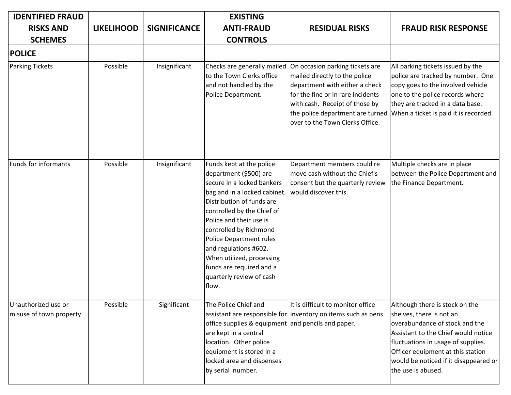| <b>IDENTIFIED FRAUD</b>                        |                   |                     | <b>EXISTING</b>                                                                                                                                                                                                                                                                                                                                                                    |                                                                                                                                                                                                              |                                                                                                                                                                                                                                                                               |
|------------------------------------------------|-------------------|---------------------|------------------------------------------------------------------------------------------------------------------------------------------------------------------------------------------------------------------------------------------------------------------------------------------------------------------------------------------------------------------------------------|--------------------------------------------------------------------------------------------------------------------------------------------------------------------------------------------------------------|-------------------------------------------------------------------------------------------------------------------------------------------------------------------------------------------------------------------------------------------------------------------------------|
| <b>RISKS AND</b>                               | <b>LIKELIHOOD</b> | <b>SIGNIFICANCE</b> | <b>ANTI-FRAUD</b>                                                                                                                                                                                                                                                                                                                                                                  | <b>RESIDUAL RISKS</b>                                                                                                                                                                                        | <b>FRAUD RISK RESPONSE</b>                                                                                                                                                                                                                                                    |
| <b>SCHEMES</b>                                 |                   |                     | <b>CONTROLS</b>                                                                                                                                                                                                                                                                                                                                                                    |                                                                                                                                                                                                              |                                                                                                                                                                                                                                                                               |
| <b>POLICE</b>                                  |                   |                     |                                                                                                                                                                                                                                                                                                                                                                                    |                                                                                                                                                                                                              |                                                                                                                                                                                                                                                                               |
| <b>Parking Tickets</b>                         | Possible          | Insignificant       | Checks are generally mailed<br>to the Town Clerks office<br>and not handled by the<br>Police Department.                                                                                                                                                                                                                                                                           | On occasion parking tickets are<br>mailed directly to the police<br>department with either a check<br>for the fine or in rare incidents<br>with cash. Receipt of those by<br>over to the Town Clerks Office. | All parking tickets issued by the<br>police are tracked by number. One<br>copy goes to the involved vehicle<br>one to the police records where<br>they are tracked in a data base.<br>the police department are turned   When a ticket is paid it is recorded.                |
| <b>Funds for informants</b>                    | Possible          | Insignificant       | Funds kept at the police<br>department (\$500) are<br>secure in a locked bankers<br>bag and in a locked cabinet.<br>Distribution of funds are<br>controlled by the Chief of<br>Police and their use is<br>controlled by Richmond<br>Police Department rules<br>and regulations #602.<br>When utilized, processing<br>funds are required and a<br>quarterly review of cash<br>flow. | Department members could re<br>move cash without the Chief's<br>consent but the quarterly review<br>would discover this.                                                                                     | Multiple checks are in place<br>between the Police Department and<br>the Finance Department.                                                                                                                                                                                  |
| Unauthorized use or<br>misuse of town property | Possible          | Significant         | The Police Chief and<br>office supplies & equipment and pencils and paper.<br>are kept in a central<br>location. Other police<br>equipment is stored in a<br>locked area and dispenses<br>by serial number.                                                                                                                                                                        | It is difficult to monitor office<br>assistant are responsible for inventory on items such as pens                                                                                                           | Although there is stock on the<br>shelves, there is not an<br>overabundance of stock and the<br>Assistant to the Chief would notice<br>fluctuations in usage of supplies.<br>Officer equipment at this station<br>would be noticed if it disappeared or<br>the use is abused. |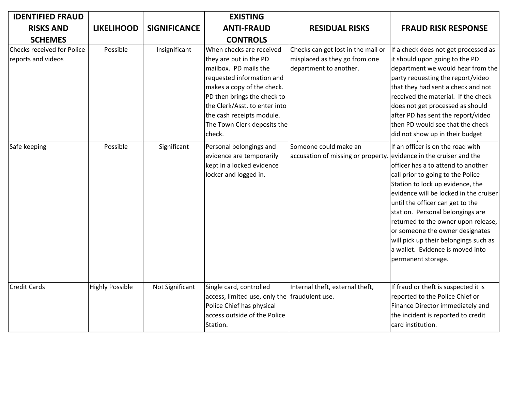| <b>IDENTIFIED FRAUD</b>                          |                        |                     | <b>EXISTING</b>                                                                                                                                                                                                                                                              |                                                                                               |                                                                                                                                                                                                                                                                                                                                                                                                                                                 |
|--------------------------------------------------|------------------------|---------------------|------------------------------------------------------------------------------------------------------------------------------------------------------------------------------------------------------------------------------------------------------------------------------|-----------------------------------------------------------------------------------------------|-------------------------------------------------------------------------------------------------------------------------------------------------------------------------------------------------------------------------------------------------------------------------------------------------------------------------------------------------------------------------------------------------------------------------------------------------|
| <b>RISKS AND</b>                                 | <b>LIKELIHOOD</b>      | <b>SIGNIFICANCE</b> | <b>ANTI-FRAUD</b>                                                                                                                                                                                                                                                            | <b>RESIDUAL RISKS</b>                                                                         | <b>FRAUD RISK RESPONSE</b>                                                                                                                                                                                                                                                                                                                                                                                                                      |
| <b>SCHEMES</b>                                   |                        |                     | <b>CONTROLS</b>                                                                                                                                                                                                                                                              |                                                                                               |                                                                                                                                                                                                                                                                                                                                                                                                                                                 |
| Checks received for Police<br>reports and videos | Possible               | Insignificant       | When checks are received<br>they are put in the PD<br>mailbox. PD mails the<br>requested information and<br>makes a copy of the check.<br>PD then brings the check to<br>the Clerk/Asst. to enter into<br>the cash receipts module.<br>The Town Clerk deposits the<br>check. | Checks can get lost in the mail or<br>misplaced as they go from one<br>department to another. | If a check does not get processed as<br>it should upon going to the PD<br>department we would hear from the<br>party requesting the report/video<br>that they had sent a check and not<br>received the material. If the check<br>does not get processed as should<br>after PD has sent the report/video<br>then PD would see that the check<br>did not show up in their budget                                                                  |
| Safe keeping                                     | Possible               | Significant         | Personal belongings and<br>evidence are temporarily<br>kept in a locked evidence<br>locker and logged in.                                                                                                                                                                    | Someone could make an<br>accusation of missing or property. evidence in the cruiser and the   | If an officer is on the road with<br>officer has a to attend to another<br>call prior to going to the Police<br>Station to lock up evidence, the<br>evidence will be locked in the cruiser<br>until the officer can get to the<br>station. Personal belongings are<br>returned to the owner upon release,<br>or someone the owner designates<br>will pick up their belongings such as<br>a wallet. Evidence is moved into<br>permanent storage. |
| <b>Credit Cards</b>                              | <b>Highly Possible</b> | Not Significant     | Single card, controlled<br>access, limited use, only the fraudulent use.<br>Police Chief has physical<br>access outside of the Police<br>Station.                                                                                                                            | Internal theft, external theft,                                                               | If fraud or theft is suspected it is<br>reported to the Police Chief or<br>Finance Director immediately and<br>the incident is reported to credit<br>card institution.                                                                                                                                                                                                                                                                          |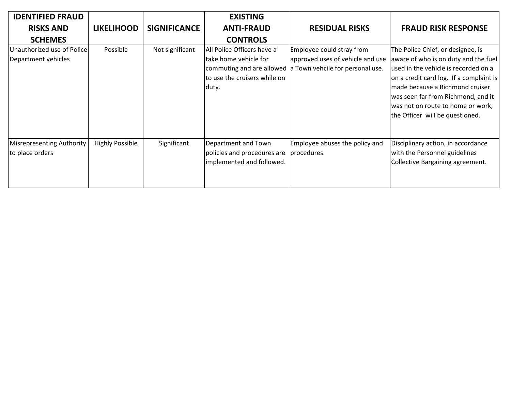| <b>IDENTIFIED FRAUD</b>                             |                        |                     | <b>EXISTING</b>                                                                              |                                                                                                                             |                                                                                                                                                                                                                                                                                                               |
|-----------------------------------------------------|------------------------|---------------------|----------------------------------------------------------------------------------------------|-----------------------------------------------------------------------------------------------------------------------------|---------------------------------------------------------------------------------------------------------------------------------------------------------------------------------------------------------------------------------------------------------------------------------------------------------------|
| <b>RISKS AND</b>                                    | <b>LIKELIHOOD</b>      | <b>SIGNIFICANCE</b> | <b>ANTI-FRAUD</b>                                                                            | <b>RESIDUAL RISKS</b>                                                                                                       | <b>FRAUD RISK RESPONSE</b>                                                                                                                                                                                                                                                                                    |
| <b>SCHEMES</b>                                      |                        |                     | <b>CONTROLS</b>                                                                              |                                                                                                                             |                                                                                                                                                                                                                                                                                                               |
| Unauthorized use of Police<br>Department vehicles   | Possible               | Not significant     | All Police Officers have a<br>take home vehicle for<br>to use the cruisers while on<br>duty. | Employee could stray from<br>approved uses of vehicle and use<br>commuting and are allowed a Town vehcile for personal use. | The Police Chief, or designee, is<br>aware of who is on duty and the fuel<br>used in the vehicle is recorded on a<br>on a credit card log. If a complaint is<br>made because a Richmond cruiser<br>was seen far from Richmond, and it<br>was not on route to home or work,<br>the Officer will be questioned. |
| <b>Misrepresenting Authority</b><br>to place orders | <b>Highly Possible</b> | Significant         | Department and Town<br>policies and procedures are<br>implemented and followed.              | Employee abuses the policy and<br>procedures.                                                                               | Disciplinary action, in accordance<br>with the Personnel guidelines<br>Collective Bargaining agreement.                                                                                                                                                                                                       |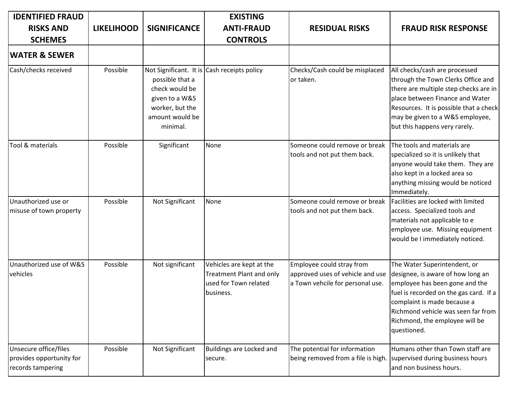| <b>IDENTIFIED FRAUD</b>                                                |                   |                                                                                                       | <b>EXISTING</b>                                                                            |                                                                                                      |                                                                                                                                                                                                                                                                     |
|------------------------------------------------------------------------|-------------------|-------------------------------------------------------------------------------------------------------|--------------------------------------------------------------------------------------------|------------------------------------------------------------------------------------------------------|---------------------------------------------------------------------------------------------------------------------------------------------------------------------------------------------------------------------------------------------------------------------|
| <b>RISKS AND</b>                                                       | <b>LIKELIHOOD</b> | <b>SIGNIFICANCE</b>                                                                                   | <b>ANTI-FRAUD</b>                                                                          | <b>RESIDUAL RISKS</b>                                                                                | <b>FRAUD RISK RESPONSE</b>                                                                                                                                                                                                                                          |
| <b>SCHEMES</b>                                                         |                   |                                                                                                       | <b>CONTROLS</b>                                                                            |                                                                                                      |                                                                                                                                                                                                                                                                     |
| <b>WATER &amp; SEWER</b>                                               |                   |                                                                                                       |                                                                                            |                                                                                                      |                                                                                                                                                                                                                                                                     |
| Cash/checks received                                                   | Possible          | possible that a<br>check would be<br>given to a W&S<br>worker, but the<br>amount would be<br>minimal. | Not Significant. It is Cash receipts policy                                                | Checks/Cash could be misplaced<br>or taken.                                                          | All checks/cash are processed<br>through the Town Clerks Office and<br>there are multiple step checks are in<br>place between Finance and Water<br>Resources. It is possible that a check<br>may be given to a W&S employee,<br>but this happens very rarely.       |
| Tool & materials                                                       | Possible          | Significant                                                                                           | None                                                                                       | Someone could remove or break<br>tools and not put them back.                                        | The tools and materials are<br>specialized so it is unlikely that<br>anyone would take them. They are<br>also kept in a locked area so<br>anything missing would be noticed<br>Immediately.                                                                         |
| Unauthorized use or<br>misuse of town property                         | Possible          | Not Significant                                                                                       | None                                                                                       | Someone could remove or break<br>tools and not put them back.                                        | Facilities are locked with limited<br>access. Specialized tools and<br>materials not applicable to e<br>employee use. Missing equipment<br>would be I immediately noticed.                                                                                          |
| Unauthorized use of W&S<br>vehicles                                    | Possible          | Not significant                                                                                       | Vehicles are kept at the<br>Treatment Plant and only<br>used for Town related<br>business. | Employee could stray from<br>approved uses of vehicle and use<br>a Town vehcile for personal use.    | The Water Superintendent, or<br>designee, is aware of how long an<br>employee has been gone and the<br>fuel is recorded on the gas card. If a<br>complaint is made because a<br>Richmond vehicle was seen far from<br>Richmond, the employee will be<br>questioned. |
| Unsecure office/files<br>provides opportunity for<br>records tampering | Possible          | Not Significant                                                                                       | Buildings are Locked and<br>secure.                                                        | The potential for information<br>being removed from a file is high. Supervised during business hours | Humans other than Town staff are<br>and non business hours.                                                                                                                                                                                                         |